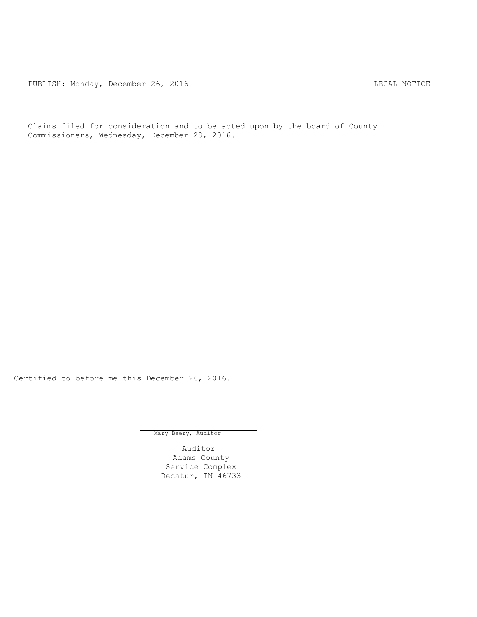PUBLISH: Monday, December 26, 2016 CHA CHANGE CONSTRUCTED AND THE LEGAL NOTICE

Claims filed for consideration and to be acted upon by the board of County Commissioners, Wednesday, December 28, 2016.

Certified to before me this December 26, 2016.

Mary Beery, Auditor

Auditor Adams County Service Complex Decatur, IN 46733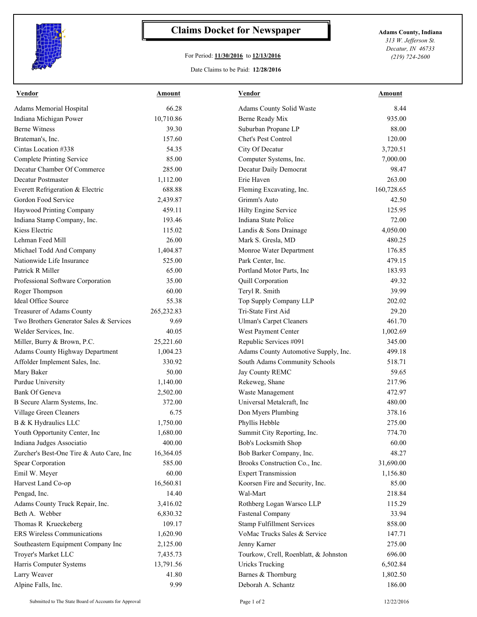

## **Claims Docket for Newspaper Adams County, Indiana**

## For Period: **11/30/2016** to **12/13/2016**

Date Claims to be Paid: **12/28/2016**

*313 W. Jefferson St. Decatur, IN 46733 (219) 724-2600*

| <b>Vendor</b>                            | Amount             | <b>Vendor</b>                               | <b>Amount</b> |
|------------------------------------------|--------------------|---------------------------------------------|---------------|
| Adams Memorial Hospital                  | 66.28              | Adams County Solid Waste                    | 8.44          |
| Indiana Michigan Power                   | 10,710.86          | Berne Ready Mix                             | 935.00        |
| <b>Berne Witness</b>                     | 39.30              | Suburban Propane LP                         | 88.00         |
| Brateman's, Inc.                         | 157.60             | Chet's Pest Control                         | 120.00        |
| Cintas Location #338                     | 54.35              | City Of Decatur                             | 3,720.51      |
| <b>Complete Printing Service</b>         | 85.00              | Computer Systems, Inc.                      | 7,000.00      |
| Decatur Chamber Of Commerce              | 285.00             | Decatur Daily Democrat                      | 98.47         |
| Decatur Postmaster                       | 1,112.00           | Erie Haven                                  | 263.00        |
| Everett Refrigeration & Electric         | 688.88             | Fleming Excavating, Inc.                    | 160,728.65    |
| Gordon Food Service                      | 2,439.87           | Grimm's Auto                                | 42.50         |
| Haywood Printing Company                 | 459.11             | Hilty Engine Service                        | 125.95        |
| Indiana Stamp Company, Inc.              | 193.46             | Indiana State Police                        | 72.00         |
| Kiess Electric                           | 115.02             | Landis & Sons Drainage                      | 4,050.00      |
| Lehman Feed Mill                         | 26.00              | Mark S. Gresla, MD                          | 480.25        |
| Michael Todd And Company                 | 1,404.87           | Monroe Water Department                     | 176.85        |
| Nationwide Life Insurance                | 525.00             | Park Center, Inc.                           | 479.15        |
| Patrick R Miller                         | 65.00              | Portland Motor Parts, Inc                   | 183.93        |
| Professional Software Corporation        | 35.00              | Quill Corporation                           | 49.32         |
| Roger Thompson                           | 60.00              | Teryl R. Smith                              | 39.99         |
| Ideal Office Source                      | 55.38              | Top Supply Company LLP                      | 202.02        |
| Treasurer of Adams County                | 265,232.83         | Tri-State First Aid                         | 29.20         |
| Two Brothers Generator Sales & Services  | 9.69               | <b>Ulman's Carpet Cleaners</b>              | 461.70        |
| Welder Services, Inc.                    | 40.05              | West Payment Center                         | 1,002.69      |
| Miller, Burry & Brown, P.C.              | 25,221.60          | Republic Services #091                      | 345.00        |
| <b>Adams County Highway Department</b>   | 1,004.23           | Adams County Automotive Supply, Inc.        | 499.18        |
| Affolder Implement Sales, Inc.           | 330.92             | South Adams Community Schools               | 518.71        |
| Mary Baker                               | 50.00              | Jay County REMC                             | 59.65         |
| Purdue University                        | 1,140.00           | Rekeweg, Shane                              | 217.96        |
| <b>Bank Of Geneva</b>                    | 2,502.00           | Waste Management                            | 472.97        |
| B Secure Alarm Systems, Inc.             | 372.00             | Universal Metalcraft, Inc                   | 480.00        |
| Village Green Cleaners                   | 6.75               | Don Myers Plumbing                          | 378.16        |
| B & K Hydraulics LLC                     | 1,750.00           | Phyllis Hebble                              | 275.00        |
| Youth Opportunity Center, Inc            | 1,680.00           | Summit City Reporting, Inc.                 | 774.70        |
| Indiana Judges Associatio                | 400.00             | Bob's Locksmith Shop                        | 60.00         |
| Zurcher's Best-One Tire & Auto Care, Inc | 16,364.05          | Bob Barker Company, Inc.                    | 48.27         |
| Spear Corporation                        | 585.00             | Brooks Construction Co., Inc.               | 31,690.00     |
| Emil W. Meyer                            | 60.00              | <b>Expert Transmission</b>                  |               |
|                                          |                    |                                             | 1,156.80      |
| Harvest Land Co-op                       | 16,560.81<br>14.40 | Koorsen Fire and Security, Inc.<br>Wal-Mart | 85.00         |
| Pengad, Inc.                             |                    |                                             | 218.84        |
| Adams County Truck Repair, Inc.          | 3,416.02           | Rothberg Logan Warsco LLP                   | 115.29        |
| Beth A. Webber                           | 6,830.32           | <b>Fastenal Company</b>                     | 33.94         |
| Thomas R Krueckeberg                     | 109.17             | <b>Stamp Fulfillment Services</b>           | 858.00        |
| <b>ERS Wireless Communications</b>       | 1,620.90           | VoMac Trucks Sales & Service                | 147.71        |
| Southeastern Equipment Company Inc       | 2,125.00           | Jenny Karner                                | 275.00        |
| Troyer's Market LLC                      | 7,435.73           | Tourkow, Crell, Roenblatt, & Johnston       | 696.00        |
| Harris Computer Systems                  | 13,791.56          | <b>Uricks Trucking</b>                      | 6,502.84      |
| Larry Weaver                             | 41.80              | Barnes & Thornburg                          | 1,802.50      |
| Alpine Falls, Inc.                       | 9.99               | Deborah A. Schantz                          | 186.00        |